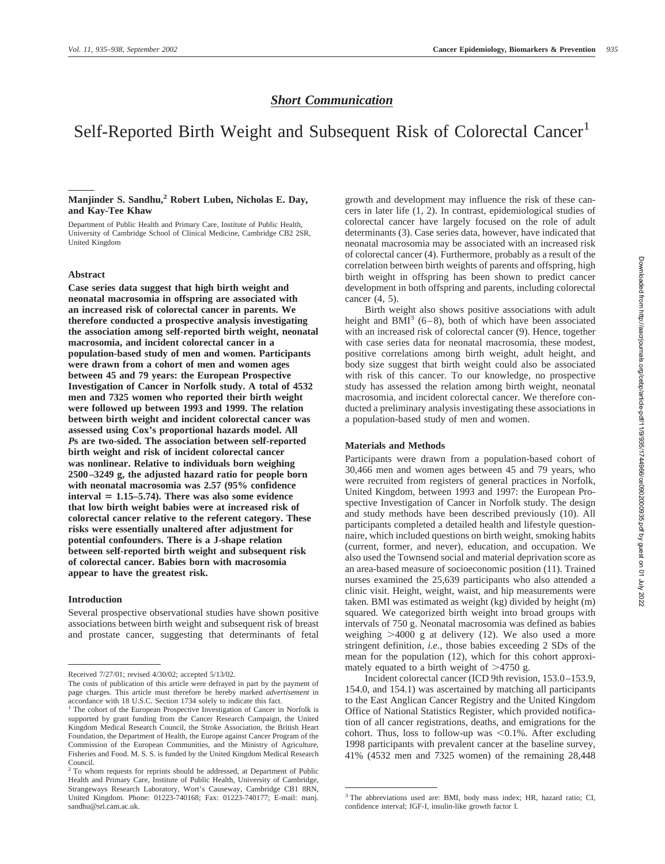# *Short Communication*

# Self-Reported Birth Weight and Subsequent Risk of Colorectal Cancer<sup>1</sup>

### **Manjinder S. Sandhu,2 Robert Luben, Nicholas E. Day, and Kay-Tee Khaw**

Department of Public Health and Primary Care, Institute of Public Health, University of Cambridge School of Clinical Medicine, Cambridge CB2 2SR, United Kingdom

#### **Abstract**

**Case series data suggest that high birth weight and neonatal macrosomia in offspring are associated with an increased risk of colorectal cancer in parents. We therefore conducted a prospective analysis investigating the association among self-reported birth weight, neonatal macrosomia, and incident colorectal cancer in a population-based study of men and women. Participants were drawn from a cohort of men and women ages between 45 and 79 years: the European Prospective Investigation of Cancer in Norfolk study. A total of 4532 men and 7325 women who reported their birth weight were followed up between 1993 and 1999. The relation between birth weight and incident colorectal cancer was assessed using Cox's proportional hazards model. All** *P***s are two-sided. The association between self-reported birth weight and risk of incident colorectal cancer was nonlinear. Relative to individuals born weighing 2500–3249 g, the adjusted hazard ratio for people born with neonatal macrosomia was 2.57 (95% confidence**  $\text{interval} = 1.15 - 5.74$ . There was also some evidence **that low birth weight babies were at increased risk of colorectal cancer relative to the referent category. These risks were essentially unaltered after adjustment for potential confounders. There is a J-shape relation between self-reported birth weight and subsequent risk of colorectal cancer. Babies born with macrosomia appear to have the greatest risk.**

#### **Introduction**

Several prospective observational studies have shown positive associations between birth weight and subsequent risk of breast and prostate cancer, suggesting that determinants of fetal

growth and development may influence the risk of these cancers in later life (1, 2). In contrast, epidemiological studies of colorectal cancer have largely focused on the role of adult determinants (3). Case series data, however, have indicated that neonatal macrosomia may be associated with an increased risk of colorectal cancer (4). Furthermore, probably as a result of the correlation between birth weights of parents and offspring, high birth weight in offspring has been shown to predict cancer development in both offspring and parents, including colorectal cancer (4, 5).

Birth weight also shows positive associations with adult height and  $\overline{BM}^3$  (6–8), both of which have been associated with an increased risk of colorectal cancer (9). Hence, together with case series data for neonatal macrosomia, these modest, positive correlations among birth weight, adult height, and body size suggest that birth weight could also be associated with risk of this cancer. To our knowledge, no prospective study has assessed the relation among birth weight, neonatal macrosomia, and incident colorectal cancer. We therefore conducted a preliminary analysis investigating these associations in a population-based study of men and women.

#### **Materials and Methods**

Participants were drawn from a population-based cohort of 30,466 men and women ages between 45 and 79 years, who were recruited from registers of general practices in Norfolk, United Kingdom, between 1993 and 1997: the European Prospective Investigation of Cancer in Norfolk study. The design and study methods have been described previously (10). All participants completed a detailed health and lifestyle questionnaire, which included questions on birth weight, smoking habits (current, former, and never), education, and occupation. We also used the Townsend social and material deprivation score as an area-based measure of socioeconomic position (11). Trained nurses examined the 25,639 participants who also attended a clinic visit. Height, weight, waist, and hip measurements were taken. BMI was estimated as weight (kg) divided by height (m) squared. We categorized birth weight into broad groups with intervals of 750 g. Neonatal macrosomia was defined as babies weighing  $>4000$  g at delivery (12). We also used a more stringent definition, *i.e.,* those babies exceeding 2 SDs of the mean for the population (12), which for this cohort approximately equated to a birth weight of  $>4750$  g.

Incident colorectal cancer (ICD 9th revision, 153.0–153.9, 154.0, and 154.1) was ascertained by matching all participants to the East Anglican Cancer Registry and the United Kingdom Office of National Statistics Register, which provided notification of all cancer registrations, deaths, and emigrations for the cohort. Thus, loss to follow-up was  $\leq 0.1\%$ . After excluding 1998 participants with prevalent cancer at the baseline survey, 41% (4532 men and 7325 women) of the remaining 28,448

Received 7/27/01; revised 4/30/02; accepted 5/13/02.

The costs of publication of this article were defrayed in part by the payment of page charges. This article must therefore be hereby marked *advertisement* in accordance with 18 U.S.C. Section 1734 solely to indicate this fact.

<sup>&</sup>lt;sup>1</sup> The cohort of the European Prospective Investigation of Cancer in Norfolk is supported by grant funding from the Cancer Research Campaign, the United Kingdom Medical Research Council, the Stroke Association, the British Heart Foundation, the Department of Health, the Europe against Cancer Program of the Commission of the European Communities, and the Ministry of Agriculture, Fisheries and Food. M. S. S. is funded by the United Kingdom Medical Research Council.

<sup>&</sup>lt;sup>2</sup> To whom requests for reprints should be addressed, at Department of Public Health and Primary Care, Institute of Public Health, University of Cambridge, Strangeways Research Laboratory, Wort's Causeway, Cambridge CB1 8RN, United Kingdom. Phone: 01223-740168; Fax: 01223-740177; E-mail: manj. sandhu@srl.cam.ac.uk.

<sup>3</sup> The abbreviations used are: BMI, body mass index; HR, hazard ratio; CI, confidence interval; IGF-I, insulin-like growth factor I.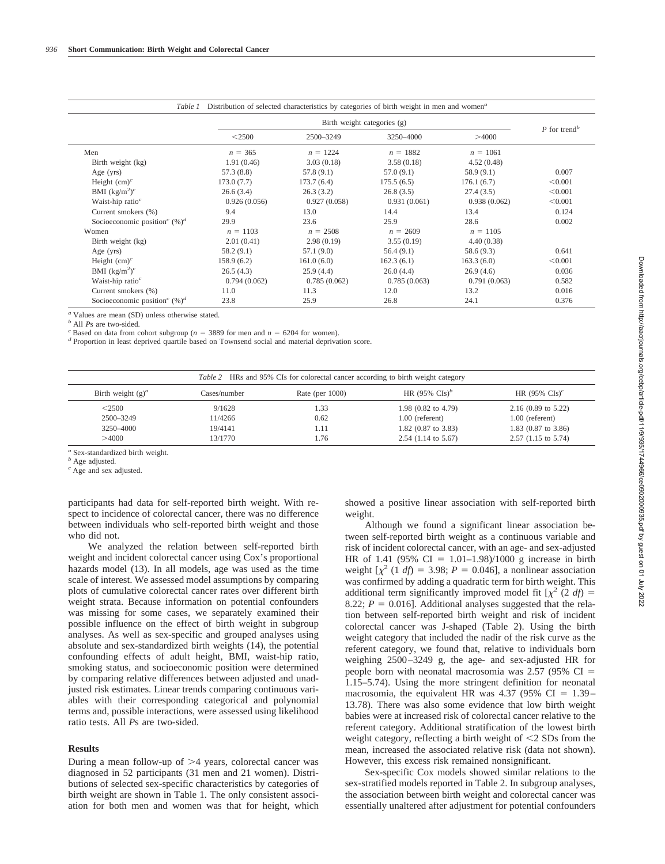|                                              | Birth weight categories (g) |              |              |              |                          |
|----------------------------------------------|-----------------------------|--------------|--------------|--------------|--------------------------|
|                                              | $<$ 2500                    | 2500-3249    | 3250-4000    | >4000        | P for trend <sup>b</sup> |
| Men                                          | $n = 365$                   | $n = 1224$   | $n = 1882$   | $n = 1061$   |                          |
| Birth weight (kg)                            | 1.91(0.46)                  | 3.03(0.18)   | 3.58(0.18)   | 4.52(0.48)   |                          |
| Age $(yrs)$                                  | 57.3(8.8)                   | 57.8 (9.1)   | 57.0(9.1)    | 58.9(9.1)    | 0.007                    |
| Height $(cm)^c$                              | 173.0(7.7)                  | 173.7(6.4)   | 175.5(6.5)   | 176.1(6.7)   | < 0.001                  |
| BMI $(\text{kg/m}^2)^c$                      | 26.6(3.4)                   | 26.3(3.2)    | 26.8(3.5)    | 27.4(3.5)    | < 0.001                  |
| Waist-hip ratio <sup>c</sup>                 | 0.926(0.056)                | 0.927(0.058) | 0.931(0.061) | 0.938(0.062) | < 0.001                  |
| Current smokers (%)                          | 9.4                         | 13.0         | 14.4         | 13.4         | 0.124                    |
| Socioeconomic position <sup>c</sup> $(\%)^d$ | 29.9                        | 23.6         | 25.9         | 28.6         | 0.002                    |
| Women                                        | $n = 1103$                  | $n = 2508$   | $n = 2609$   | $n = 1105$   |                          |
| Birth weight (kg)                            | 2.01(0.41)                  | 2.98(0.19)   | 3.55(0.19)   | 4.40(0.38)   |                          |
| Age $(yrs)$                                  | 58.2(9.1)                   | 57.1(9.0)    | 56.4(9.1)    | 58.6 (9.3)   | 0.641                    |
| Height $(cm)^c$                              | 158.9(6.2)                  | 161.0(6.0)   | 162.3(6.1)   | 163.3(6.0)   | < 0.001                  |
| BMI $(kg/m^2)^c$                             | 26.5(4.3)                   | 25.9(4.4)    | 26.0(4.4)    | 26.9(4.6)    | 0.036                    |
| Waist-hip ratio <sup>c</sup>                 | 0.794(0.062)                | 0.785(0.062) | 0.785(0.063) | 0.791(0.063) | 0.582                    |
| Current smokers (%)                          | 11.0                        | 11.3         | 12.0         | 13.2         | 0.016                    |
| Socioeconomic position <sup>c</sup> $(\%)^d$ | 23.8                        | 25.9         | 26.8         | 24.1         | 0.376                    |

*a* Values are mean (SD) unless otherwise stated.<br> $\frac{b}{c}$  All *Ps* are two-sided.

<sup>c</sup> Based on data from cohort subgroup ( $n = 3889$  for men and  $n = 6204$  for women).<br><sup>d</sup> Proportion in least deprived quartile based on Townsend social and material deprivation score.

| Table 2 HRs and 95% CIs for colorectal cancer according to birth weight category |                                         |                              |                                                                                            |                                                                                                               |
|----------------------------------------------------------------------------------|-----------------------------------------|------------------------------|--------------------------------------------------------------------------------------------|---------------------------------------------------------------------------------------------------------------|
| Birth weight $(g)^a$                                                             | Cases/number                            | Rate (per $1000$ )           | HR $(95\% \text{ Cls})^b$                                                                  | HR $(95\% \text{ Cls})^c$                                                                                     |
| $<$ 2500<br>2500-3249<br>3250-4000<br>>4000                                      | 9/1628<br>11/4266<br>19/4141<br>13/1770 | 1.33<br>0.62<br>1.11<br>1.76 | 1.98 (0.82 to 4.79)<br>$1.00$ (referent)<br>$1.82$ (0.87 to 3.83)<br>$2.54$ (1.14 to 5.67) | $2.16(0.89 \text{ to } 5.22)$<br>$1.00$ (referent)<br>1.83 $(0.87 \text{ to } 3.86)$<br>$2.57$ (1.15 to 5.74) |

*<sup>a</sup>* Sex-standardized birth weight.

*b* Age adjusted.

*<sup>c</sup>* Age and sex adjusted.

participants had data for self-reported birth weight. With respect to incidence of colorectal cancer, there was no difference between individuals who self-reported birth weight and those who did not.

We analyzed the relation between self-reported birth weight and incident colorectal cancer using Cox's proportional hazards model (13). In all models, age was used as the time scale of interest. We assessed model assumptions by comparing plots of cumulative colorectal cancer rates over different birth weight strata. Because information on potential confounders was missing for some cases, we separately examined their possible influence on the effect of birth weight in subgroup analyses. As well as sex-specific and grouped analyses using absolute and sex-standardized birth weights (14), the potential confounding effects of adult height, BMI, waist-hip ratio, smoking status, and socioeconomic position were determined by comparing relative differences between adjusted and unadjusted risk estimates. Linear trends comparing continuous variables with their corresponding categorical and polynomial terms and, possible interactions, were assessed using likelihood ratio tests. All *P*s are two-sided.

## **Results**

During a mean follow-up of  $\geq$ 4 years, colorectal cancer was diagnosed in 52 participants (31 men and 21 women). Distributions of selected sex-specific characteristics by categories of birth weight are shown in Table 1. The only consistent association for both men and women was that for height, which showed a positive linear association with self-reported birth weight.

Although we found a significant linear association between self-reported birth weight as a continuous variable and risk of incident colorectal cancer, with an age- and sex-adjusted HR of 1.41 (95% CI =  $1.01-1.98$ )/1000 g increase in birth weight  $[\chi^2 (1 \text{ df}) = 3.98; P = 0.046]$ , a nonlinear association was confirmed by adding a quadratic term for birth weight. This additional term significantly improved model fit  $[\chi^2 (2 \, df) =$ 8.22;  $P = 0.016$ ]. Additional analyses suggested that the relation between self-reported birth weight and risk of incident colorectal cancer was J-shaped (Table 2). Using the birth weight category that included the nadir of the risk curve as the referent category, we found that, relative to individuals born weighing 2500–3249 g, the age- and sex-adjusted HR for people born with neonatal macrosomia was  $2.57$  (95% CI = 1.15–5.74). Using the more stringent definition for neonatal macrosomia, the equivalent HR was  $4.37$  (95% CI = 1.39– 13.78). There was also some evidence that low birth weight babies were at increased risk of colorectal cancer relative to the referent category. Additional stratification of the lowest birth weight category, reflecting a birth weight of  $\leq$ 2 SDs from the mean, increased the associated relative risk (data not shown). However, this excess risk remained nonsignificant.

Sex-specific Cox models showed similar relations to the sex-stratified models reported in Table 2. In subgroup analyses, the association between birth weight and colorectal cancer was essentially unaltered after adjustment for potential confounders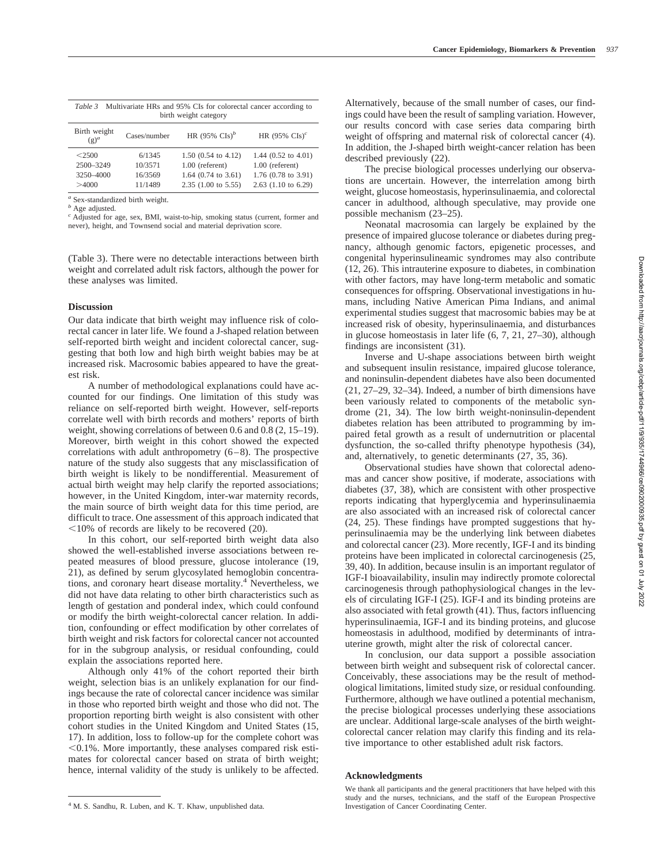| Multivariate HRs and 95% CIs for colorectal cancer according to<br>Table 3<br>birth weight category |              |                           |                           |  |
|-----------------------------------------------------------------------------------------------------|--------------|---------------------------|---------------------------|--|
| Birth weight<br>$(g)^a$                                                                             | Cases/number | HR $(95\% \text{ Cls})^b$ | HR $(95\% \text{ Cls})^c$ |  |
|                                                                                                     |              |                           |                           |  |

| $<$ 2500  | 6/1345  | $1.50$ (0.54 to 4.12)          | 1.44 $(0.52 \text{ to } 4.01)$ |
|-----------|---------|--------------------------------|--------------------------------|
| 2500-3249 | 10/3571 | $1.00$ (referent)              | $1.00$ (referent)              |
| 3250-4000 | 16/3569 | 1.64 $(0.74 \text{ to } 3.61)$ | 1.76 $(0.78 \text{ to } 3.91)$ |
| >4000     | 11/1489 | $2.35$ (1.00 to 5.55)          | $2.63$ (1.10 to 6.29)          |
|           |         |                                |                                |

*<sup>a</sup>* Sex-standardized birth weight.

*<sup>b</sup>* Age adjusted.

*<sup>c</sup>* Adjusted for age, sex, BMI, waist-to-hip, smoking status (current, former and never), height, and Townsend social and material deprivation score.

(Table 3). There were no detectable interactions between birth weight and correlated adult risk factors, although the power for these analyses was limited.

#### **Discussion**

Our data indicate that birth weight may influence risk of colorectal cancer in later life. We found a J-shaped relation between self-reported birth weight and incident colorectal cancer, suggesting that both low and high birth weight babies may be at increased risk. Macrosomic babies appeared to have the greatest risk.

A number of methodological explanations could have accounted for our findings. One limitation of this study was reliance on self-reported birth weight. However, self-reports correlate well with birth records and mothers' reports of birth weight, showing correlations of between 0.6 and 0.8 (2, 15–19). Moreover, birth weight in this cohort showed the expected correlations with adult anthropometry (6–8). The prospective nature of the study also suggests that any misclassification of birth weight is likely to be nondifferential. Measurement of actual birth weight may help clarify the reported associations; however, in the United Kingdom, inter-war maternity records, the main source of birth weight data for this time period, are difficult to trace. One assessment of this approach indicated that -10% of records are likely to be recovered (20).

In this cohort, our self-reported birth weight data also showed the well-established inverse associations between repeated measures of blood pressure, glucose intolerance (19, 21), as defined by serum glycosylated hemoglobin concentrations, and coronary heart disease mortality.<sup>4</sup> Nevertheless, we did not have data relating to other birth characteristics such as length of gestation and ponderal index, which could confound or modify the birth weight-colorectal cancer relation. In addition, confounding or effect modification by other correlates of birth weight and risk factors for colorectal cancer not accounted for in the subgroup analysis, or residual confounding, could explain the associations reported here.

Although only 41% of the cohort reported their birth weight, selection bias is an unlikely explanation for our findings because the rate of colorectal cancer incidence was similar in those who reported birth weight and those who did not. The proportion reporting birth weight is also consistent with other cohort studies in the United Kingdom and United States (15, 17). In addition, loss to follow-up for the complete cohort was -0.1%. More importantly, these analyses compared risk estimates for colorectal cancer based on strata of birth weight; hence, internal validity of the study is unlikely to be affected.

Alternatively, because of the small number of cases, our findings could have been the result of sampling variation. However, our results concord with case series data comparing birth weight of offspring and maternal risk of colorectal cancer (4). In addition, the J-shaped birth weight-cancer relation has been described previously (22).

The precise biological processes underlying our observations are uncertain. However, the interrelation among birth weight, glucose homeostasis, hyperinsulinaemia, and colorectal cancer in adulthood, although speculative, may provide one possible mechanism (23–25).

Neonatal macrosomia can largely be explained by the presence of impaired glucose tolerance or diabetes during pregnancy, although genomic factors, epigenetic processes, and congenital hyperinsulineamic syndromes may also contribute (12, 26). This intrauterine exposure to diabetes, in combination with other factors, may have long-term metabolic and somatic consequences for offspring. Observational investigations in humans, including Native American Pima Indians, and animal experimental studies suggest that macrosomic babies may be at increased risk of obesity, hyperinsulinaemia, and disturbances in glucose homeostasis in later life (6, 7, 21, 27–30), although findings are inconsistent (31).

Inverse and U-shape associations between birth weight and subsequent insulin resistance, impaired glucose tolerance, and noninsulin-dependent diabetes have also been documented (21, 27–29, 32–34). Indeed, a number of birth dimensions have been variously related to components of the metabolic syndrome (21, 34). The low birth weight-noninsulin-dependent diabetes relation has been attributed to programming by impaired fetal growth as a result of undernutrition or placental dysfunction, the so-called thrifty phenotype hypothesis (34), and, alternatively, to genetic determinants (27, 35, 36).

Observational studies have shown that colorectal adenomas and cancer show positive, if moderate, associations with diabetes (37, 38), which are consistent with other prospective reports indicating that hyperglycemia and hyperinsulinaemia are also associated with an increased risk of colorectal cancer (24, 25). These findings have prompted suggestions that hyperinsulinaemia may be the underlying link between diabetes and colorectal cancer (23). More recently, IGF-I and its binding proteins have been implicated in colorectal carcinogenesis (25, 39, 40). In addition, because insulin is an important regulator of IGF-I bioavailability, insulin may indirectly promote colorectal carcinogenesis through pathophysiological changes in the levels of circulating IGF-I (25). IGF-I and its binding proteins are also associated with fetal growth (41). Thus, factors influencing hyperinsulinaemia, IGF-I and its binding proteins, and glucose homeostasis in adulthood, modified by determinants of intrauterine growth, might alter the risk of colorectal cancer.

In conclusion, our data support a possible association between birth weight and subsequent risk of colorectal cancer. Conceivably, these associations may be the result of methodological limitations, limited study size, or residual confounding. Furthermore, although we have outlined a potential mechanism, the precise biological processes underlying these associations are unclear. Additional large-scale analyses of the birth weightcolorectal cancer relation may clarify this finding and its relative importance to other established adult risk factors.

#### **Acknowledgments**

<sup>&</sup>lt;sup>4</sup> M. S. Sandhu, R. Luben, and K. T. Khaw, unpublished data.

We thank all participants and the general practitioners that have helped with this study and the nurses, technicians, and the staff of the European Prospective Investigation of Cancer Coordinating Center.